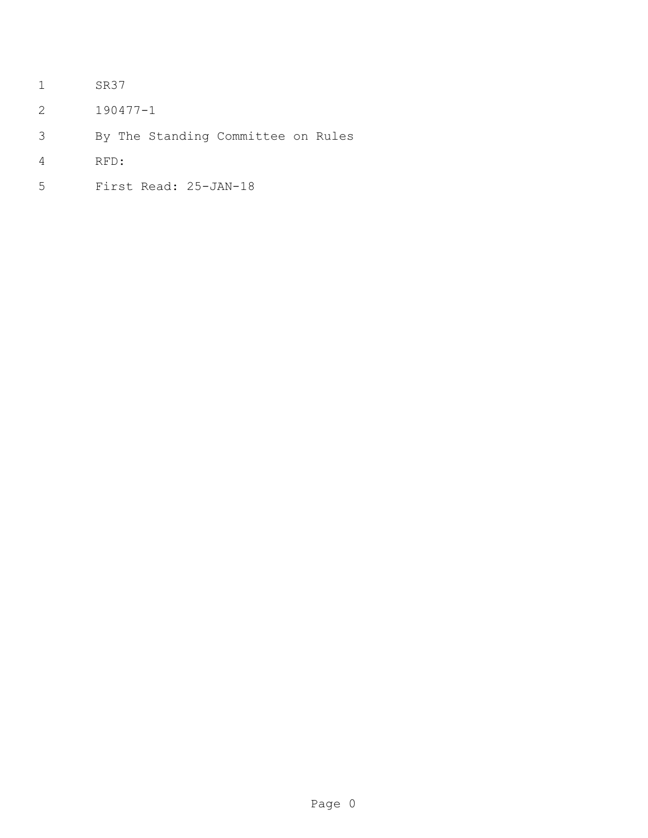- SR37
- 190477-1
- By The Standing Committee on Rules
- RFD:
- First Read: 25-JAN-18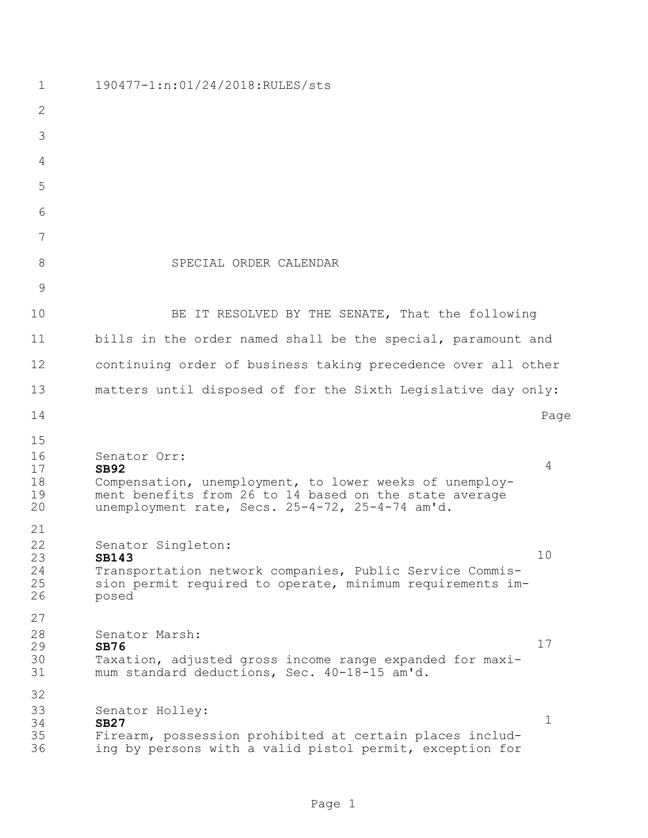| 1                                | 190477-1:n:01/24/2018:RULES/sts                                                                                                                                                                     |             |
|----------------------------------|-----------------------------------------------------------------------------------------------------------------------------------------------------------------------------------------------------|-------------|
| $\mathbf{2}$                     |                                                                                                                                                                                                     |             |
| 3                                |                                                                                                                                                                                                     |             |
| 4                                |                                                                                                                                                                                                     |             |
| 5                                |                                                                                                                                                                                                     |             |
| 6                                |                                                                                                                                                                                                     |             |
| 7                                |                                                                                                                                                                                                     |             |
| 8                                | SPECIAL ORDER CALENDAR                                                                                                                                                                              |             |
| 9                                |                                                                                                                                                                                                     |             |
| 10                               | BE IT RESOLVED BY THE SENATE, That the following                                                                                                                                                    |             |
| 11                               | bills in the order named shall be the special, paramount and                                                                                                                                        |             |
| 12                               | continuing order of business taking precedence over all other                                                                                                                                       |             |
| 13                               | matters until disposed of for the Sixth Legislative day only:                                                                                                                                       |             |
| 14                               |                                                                                                                                                                                                     | Page        |
| 15<br>16<br>17<br>18<br>19<br>20 | Senator Orr:<br><b>SB92</b><br>Compensation, unemployment, to lower weeks of unemploy-<br>ment benefits from 26 to 14 based on the state average<br>unemployment rate, Secs. 25-4-72, 25-4-74 am'd. | 4           |
| 21<br>22<br>23<br>24<br>25<br>26 | Senator Singleton:<br><b>SB143</b><br>Transportation network companies, Public Service Commis-<br>sion permit required to operate, minimum requirements im-<br>posed                                | 10          |
| 27<br>28                         | Senator Marsh:                                                                                                                                                                                      |             |
| 29<br>30<br>31                   | <b>SB76</b><br>Taxation, adjusted gross income range expanded for maxi-<br>mum standard deductions, Sec. 40-18-15 am'd.                                                                             | 17          |
| 32<br>33<br>34<br>35<br>36       | Senator Holley:<br><b>SB27</b><br>Firearm, possession prohibited at certain places includ-<br>ing by persons with a valid pistol permit, exception for                                              | $\mathbf 1$ |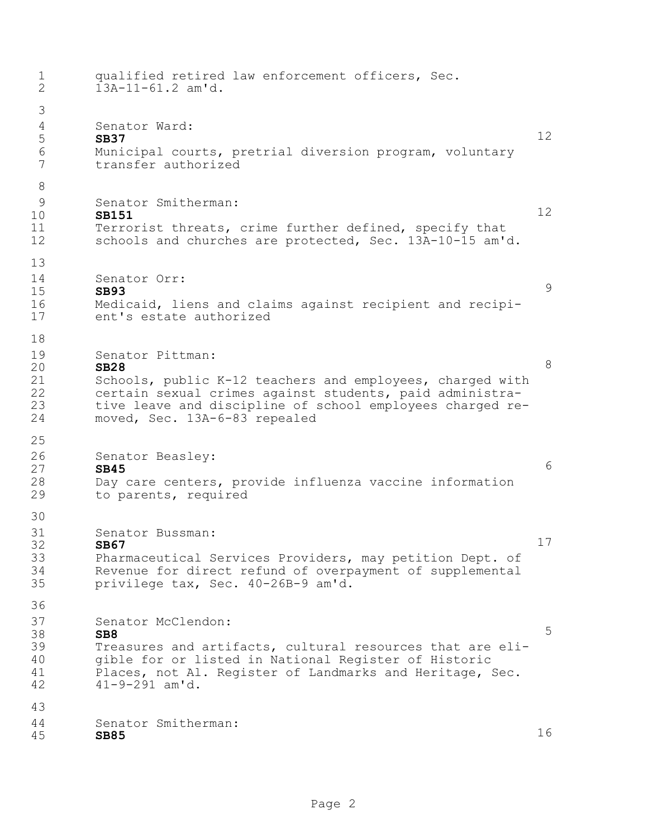| $\mathbf 1$<br>$\overline{2}$          | qualified retired law enforcement officers, Sec.<br>$13A-11-61.2$ am'd.                                                                                                                                                                                |    |
|----------------------------------------|--------------------------------------------------------------------------------------------------------------------------------------------------------------------------------------------------------------------------------------------------------|----|
| 3<br>$\overline{4}$<br>5<br>6<br>7     | Senator Ward:<br><b>SB37</b><br>Municipal courts, pretrial diversion program, voluntary<br>transfer authorized                                                                                                                                         | 12 |
| 8<br>9<br>10<br>11<br>12               | Senator Smitherman:<br><b>SB151</b><br>Terrorist threats, crime further defined, specify that<br>schools and churches are protected, Sec. 13A-10-15 am'd.                                                                                              | 12 |
| 13<br>14<br>15<br>16<br>17             | Senator Orr:<br><b>SB93</b><br>Medicaid, liens and claims against recipient and recipi-<br>ent's estate authorized                                                                                                                                     | 9  |
| 18<br>19<br>20<br>21<br>22<br>23<br>24 | Senator Pittman:<br><b>SB28</b><br>Schools, public K-12 teachers and employees, charged with<br>certain sexual crimes against students, paid administra-<br>tive leave and discipline of school employees charged re-<br>moved, Sec. 13A-6-83 repealed | 8  |
| 25<br>26<br>27<br>28<br>29             | Senator Beasley:<br><b>SB45</b><br>Day care centers, provide influenza vaccine information<br>to parents, required                                                                                                                                     | 6  |
| 30<br>31<br>32<br>33<br>34<br>35       | Senator Bussman:<br>SB67<br>Pharmaceutical Services Providers, may petition Dept. of<br>Revenue for direct refund of overpayment of supplemental<br>privilege tax, Sec. 40-26B-9 am'd.                                                                 | 17 |
| 36<br>37<br>38<br>39<br>40<br>41<br>42 | Senator McClendon:<br>SB <sub>8</sub><br>Treasures and artifacts, cultural resources that are eli-<br>gible for or listed in National Register of Historic<br>Places, not Al. Register of Landmarks and Heritage, Sec.<br>$41 - 9 - 291$ am'd.         | 5  |
| 43<br>44<br>45                         | Senator Smitherman:<br><b>SB85</b>                                                                                                                                                                                                                     | 16 |